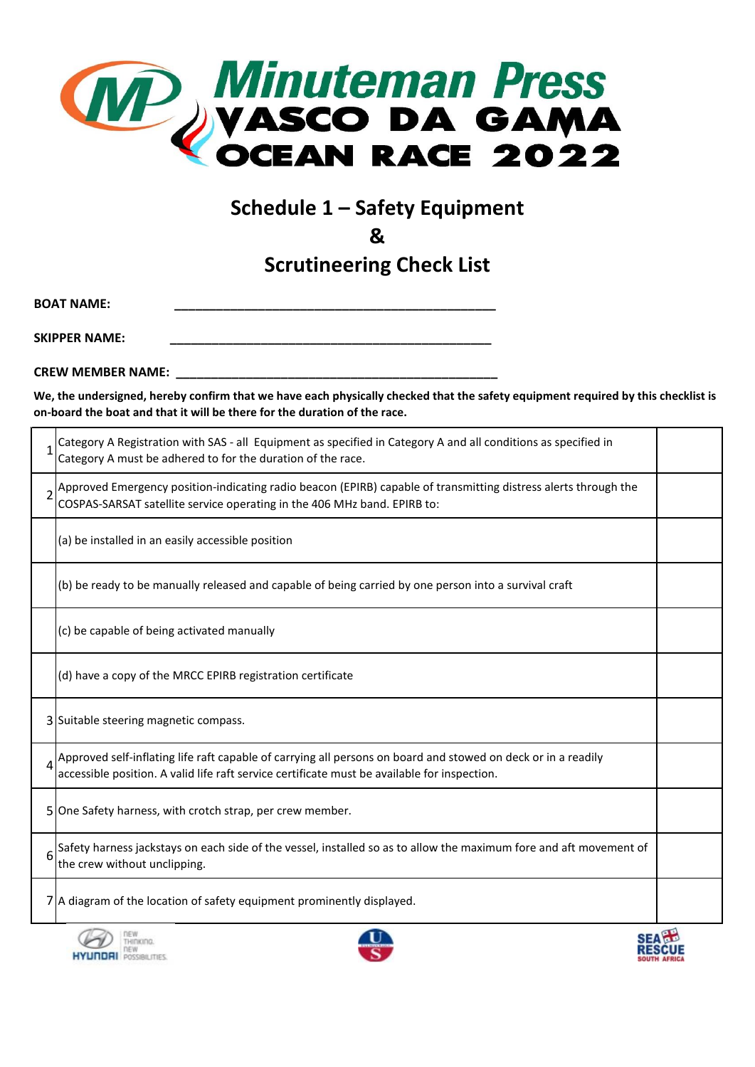

## **Schedule 1 – Safety Equipment**

**&**

**Scrutineering Check List**

**BOAT NAME:** 

**SKIPPER NAME:** 

**CREW MEMBER NAME: \_\_\_\_\_\_\_\_\_\_\_\_\_\_\_\_\_\_\_\_\_\_\_\_\_\_\_\_\_\_\_\_\_\_\_\_\_\_\_\_\_\_\_\_\_\_**

**We, the undersigned, hereby confirm that we have each physically checked that the safety equipment required by this checklist is on-board the boat and that it will be there for the duration of the race.**

| Category A Registration with SAS - all Equipment as specified in Category A and all conditions as specified in<br>Category A must be adhered to for the duration of the race.                                 |  |
|---------------------------------------------------------------------------------------------------------------------------------------------------------------------------------------------------------------|--|
| Approved Emergency position-indicating radio beacon (EPIRB) capable of transmitting distress alerts through the<br>COSPAS-SARSAT satellite service operating in the 406 MHz band. EPIRB to:                   |  |
| (a) be installed in an easily accessible position                                                                                                                                                             |  |
| (b) be ready to be manually released and capable of being carried by one person into a survival craft                                                                                                         |  |
| (c) be capable of being activated manually                                                                                                                                                                    |  |
| (d) have a copy of the MRCC EPIRB registration certificate                                                                                                                                                    |  |
| 3 Suitable steering magnetic compass.                                                                                                                                                                         |  |
| Approved self-inflating life raft capable of carrying all persons on board and stowed on deck or in a readily<br>accessible position. A valid life raft service certificate must be available for inspection. |  |
| 5 One Safety harness, with crotch strap, per crew member.                                                                                                                                                     |  |
| Safety harness jackstays on each side of the vessel, installed so as to allow the maximum fore and aft movement of<br>the crew without unclipping.                                                            |  |
| 7 A diagram of the location of safety equipment prominently displayed.                                                                                                                                        |  |
|                                                                                                                                                                                                               |  |





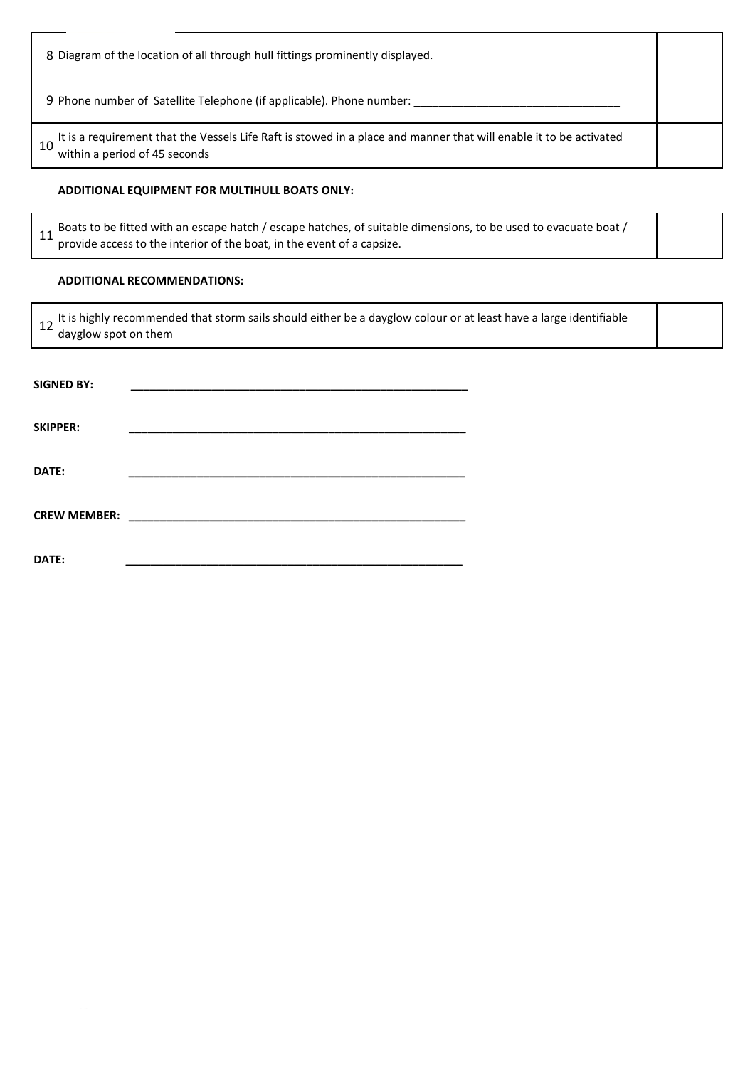| 8 Diagram of the location of all through hull fittings prominently displayed.                                                                                    |  |
|------------------------------------------------------------------------------------------------------------------------------------------------------------------|--|
| 9 Phone number of Satellite Telephone (if applicable). Phone number:                                                                                             |  |
| 10 <sup>t</sup> is a requirement that the Vessels Life Raft is stowed in a place and manner that will enable it to be activated<br>within a period of 45 seconds |  |

## **ADDITIONAL EQUIPMENT FOR MULTIHULL BOATS ONLY:**

|  | 14 Boats to be fitted with an escape hatch / escape hatches, of suitable dimensions, to be used to evacuate boat / |  |
|--|--------------------------------------------------------------------------------------------------------------------|--|
|  | provide access to the interior of the boat, in the event of a capsize.                                             |  |

## **ADDITIONAL RECOMMENDATIONS:**

12 It is highly recommended that storm sails should either be a dayglow colour or at least have a large identifiable dayglow spot on them

| <b>SIGNED BY:</b>   |  |
|---------------------|--|
|                     |  |
| <b>SKIPPER:</b>     |  |
|                     |  |
|                     |  |
| DATE:               |  |
|                     |  |
| <b>CREW MEMBER:</b> |  |
|                     |  |
| DATE:               |  |